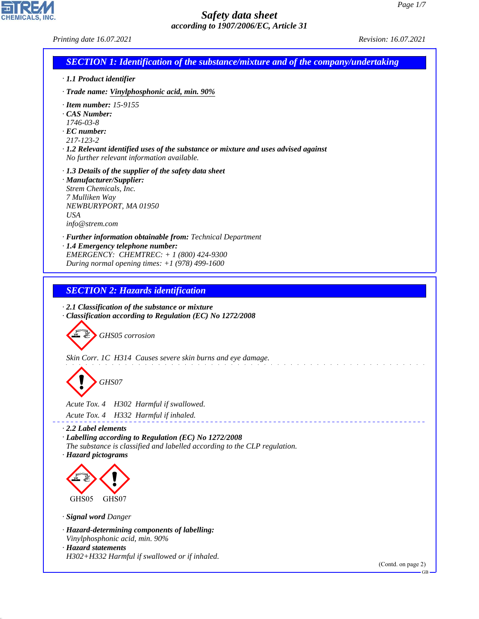٦

# *Safety data sheet according to 1907/2006/EC, Article 31*

| <b>SECTION 1: Identification of the substance/mixture and of the company/undertaking</b>                                                                                                                                                 |  |
|------------------------------------------------------------------------------------------------------------------------------------------------------------------------------------------------------------------------------------------|--|
| · 1.1 Product identifier                                                                                                                                                                                                                 |  |
| · Trade name: Vinylphosphonic acid, min. 90%                                                                                                                                                                                             |  |
| $\cdot$ Item number: 15-9155<br>· CAS Number:<br>1746-03-8<br>$\cdot$ EC number:<br>217-123-2<br>$\cdot$ 1.2 Relevant identified uses of the substance or mixture and uses advised against<br>No further relevant information available. |  |
| $\cdot$ 1.3 Details of the supplier of the safety data sheet<br>· Manufacturer/Supplier:<br>Strem Chemicals, Inc.<br>7 Mulliken Way<br>NEWBURYPORT, MA 01950<br><b>USA</b><br>info@strem.com                                             |  |
| · Further information obtainable from: Technical Department<br>· 1.4 Emergency telephone number:<br>EMERGENCY: CHEMTREC: $+ 1 (800) 424 - 9300$<br>During normal opening times: $+1$ (978) 499-1600                                      |  |
| <b>SECTION 2: Hazards identification</b>                                                                                                                                                                                                 |  |
| $\cdot$ 2.1 Classification of the substance or mixture<br>· Classification according to Regulation (EC) No 1272/2008                                                                                                                     |  |
| GHS05 corrosion<br>Skin Corr. 1C H314 Causes severe skin burns and eye damage.<br>GHS07                                                                                                                                                  |  |
| Acute Tox. 4<br>H302 Harmful if swallowed.                                                                                                                                                                                               |  |
| Acute Tox. 4 H332 Harmful if inhaled.<br>2.2 Label elements<br>· Labelling according to Regulation (EC) No 1272/2008<br>The substance is classified and labelled according to the CLP regulation.<br>· Hazard pictograms                 |  |
| GHS05<br>GHS07                                                                                                                                                                                                                           |  |
|                                                                                                                                                                                                                                          |  |
| · Signal word Danger<br>· Hazard-determining components of labelling:<br>Vinylphosphonic acid, min. 90%<br>· Hazard statements                                                                                                           |  |

44.1.1

CHEMICALS, INC.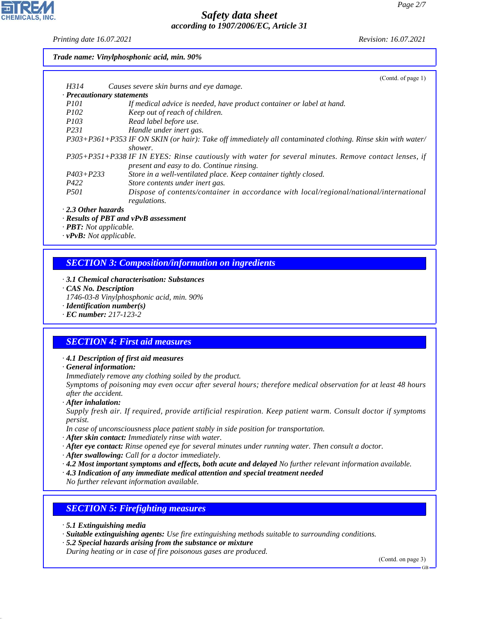*Printing date 16.07.2021 Revision: 16.07.2021*

#### *Trade name: Vinylphosphonic acid, min. 90%*

|                                  | (Contd. of page 1)                                                                                          |
|----------------------------------|-------------------------------------------------------------------------------------------------------------|
| H314                             | Causes severe skin burns and eye damage.                                                                    |
| $\cdot$ Precautionary statements |                                                                                                             |
| <i>P<sub>101</sub></i>           | If medical advice is needed, have product container or label at hand.                                       |
| <i>P102</i>                      | Keep out of reach of children.                                                                              |
| <i>P103</i>                      | Read label before use.                                                                                      |
| <i>P231</i>                      | Handle under inert gas.                                                                                     |
|                                  | P303+P361+P353 IF ON SKIN (or hair): Take off immediately all contaminated clothing. Rinse skin with water/ |
|                                  | shower.                                                                                                     |
|                                  | P305+P351+P338 IF IN EYES: Rinse cautiously with water for several minutes. Remove contact lenses, if       |
|                                  | present and easy to do. Continue rinsing.                                                                   |
| $P403 + P233$                    | Store in a well-ventilated place. Keep container tightly closed.                                            |
| P422                             | Store contents under inert gas.                                                                             |
| <i>P501</i>                      | Dispose of contents/container in accordance with local/regional/national/international                      |
|                                  | regulations.                                                                                                |
| $2.2$ Other hospitals            |                                                                                                             |

*· 2.3 Other hazards*

*· Results of PBT and vPvB assessment*

*· PBT: Not applicable.*

*· vPvB: Not applicable.*

## *SECTION 3: Composition/information on ingredients*

- *· 3.1 Chemical characterisation: Substances*
- *· CAS No. Description*
- *1746-03-8 Vinylphosphonic acid, min. 90%*
- *· Identification number(s)*
- *· EC number: 217-123-2*

## *SECTION 4: First aid measures*

#### *· 4.1 Description of first aid measures*

*· General information:*

*Immediately remove any clothing soiled by the product.*

*Symptoms of poisoning may even occur after several hours; therefore medical observation for at least 48 hours after the accident.*

*· After inhalation:*

*Supply fresh air. If required, provide artificial respiration. Keep patient warm. Consult doctor if symptoms persist.*

*In case of unconsciousness place patient stably in side position for transportation.*

- *· After skin contact: Immediately rinse with water.*
- *· After eye contact: Rinse opened eye for several minutes under running water. Then consult a doctor.*
- *· After swallowing: Call for a doctor immediately.*
- *· 4.2 Most important symptoms and effects, both acute and delayed No further relevant information available.*
- *· 4.3 Indication of any immediate medical attention and special treatment needed*

*No further relevant information available.*

### *SECTION 5: Firefighting measures*

*· 5.1 Extinguishing media*

44.1.1

- *· Suitable extinguishing agents: Use fire extinguishing methods suitable to surrounding conditions.*
- *· 5.2 Special hazards arising from the substance or mixture*

*During heating or in case of fire poisonous gases are produced.*

(Contd. on page 3)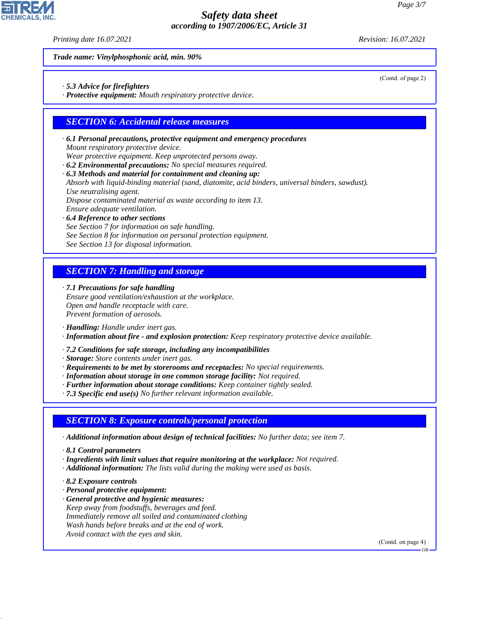*Printing date 16.07.2021 Revision: 16.07.2021*

(Contd. of page 2)

*Trade name: Vinylphosphonic acid, min. 90%*

*· 5.3 Advice for firefighters*

*· Protective equipment: Mouth respiratory protective device.*

### *SECTION 6: Accidental release measures*

*· 6.1 Personal precautions, protective equipment and emergency procedures Mount respiratory protective device.*

*Wear protective equipment. Keep unprotected persons away.*

*· 6.2 Environmental precautions: No special measures required.*

*· 6.3 Methods and material for containment and cleaning up: Absorb with liquid-binding material (sand, diatomite, acid binders, universal binders, sawdust). Use neutralising agent.*

*Dispose contaminated material as waste according to item 13.*

*Ensure adequate ventilation.*

*· 6.4 Reference to other sections See Section 7 for information on safe handling. See Section 8 for information on personal protection equipment. See Section 13 for disposal information.*

*SECTION 7: Handling and storage*

*· 7.1 Precautions for safe handling Ensure good ventilation/exhaustion at the workplace. Open and handle receptacle with care. Prevent formation of aerosols.*

*· Handling: Handle under inert gas.*

*· Information about fire - and explosion protection: Keep respiratory protective device available.*

*· 7.2 Conditions for safe storage, including any incompatibilities*

*· Storage: Store contents under inert gas.*

*· Requirements to be met by storerooms and receptacles: No special requirements.*

- *· Information about storage in one common storage facility: Not required.*
- *· Further information about storage conditions: Keep container tightly sealed.*

*· 7.3 Specific end use(s) No further relevant information available.*

### *SECTION 8: Exposure controls/personal protection*

*· Additional information about design of technical facilities: No further data; see item 7.*

*· 8.1 Control parameters*

- *· Ingredients with limit values that require monitoring at the workplace: Not required.*
- *· Additional information: The lists valid during the making were used as basis.*

*· 8.2 Exposure controls*

44.1.1

- *· Personal protective equipment:*
- *· General protective and hygienic measures: Keep away from foodstuffs, beverages and feed. Immediately remove all soiled and contaminated clothing Wash hands before breaks and at the end of work. Avoid contact with the eyes and skin.*

(Contd. on page 4)

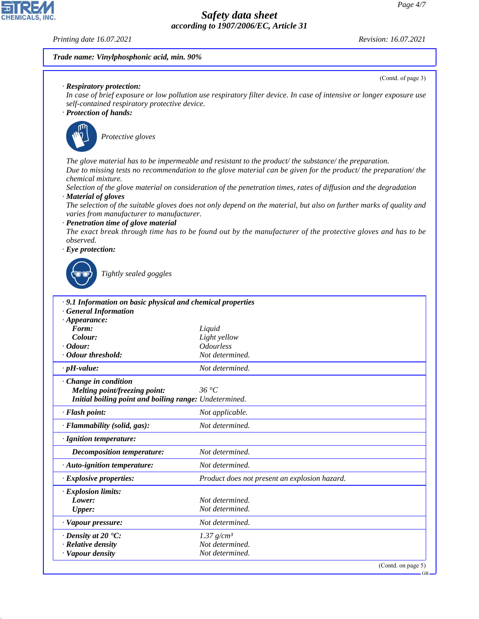#### *Printing date 16.07.2021 Revision: 16.07.2021*

**CHEMICALS.** 

(Contd. of page 3)

#### *Trade name: Vinylphosphonic acid, min. 90%*

*· Respiratory protection:*

*In case of brief exposure or low pollution use respiratory filter device. In case of intensive or longer exposure use self-contained respiratory protective device.*

### *· Protection of hands:*



\_S*Protective gloves*

*The glove material has to be impermeable and resistant to the product/ the substance/ the preparation. Due to missing tests no recommendation to the glove material can be given for the product/ the preparation/ the chemical mixture.*

*Selection of the glove material on consideration of the penetration times, rates of diffusion and the degradation · Material of gloves*

*The selection of the suitable gloves does not only depend on the material, but also on further marks of quality and varies from manufacturer to manufacturer.*

*· Penetration time of glove material*

*The exact break through time has to be found out by the manufacturer of the protective gloves and has to be observed.*

*· Eye protection:*



44.1.1

\_R*Tightly sealed goggles*

| · 9.1 Information on basic physical and chemical properties |                                               |
|-------------------------------------------------------------|-----------------------------------------------|
| <b>General Information</b>                                  |                                               |
| $\cdot$ Appearance:                                         |                                               |
| Form:                                                       | Liquid                                        |
| Colour:                                                     | Light yellow                                  |
| <i>Codour:</i>                                              | <i><b>Odourless</b></i>                       |
| Odour threshold:                                            | Not determined.                               |
| $\cdot$ pH-value:                                           | Not determined.                               |
| Change in condition                                         |                                               |
| Melting point/freezing point:                               | 36 °C                                         |
| Initial boiling point and boiling range: Undetermined.      |                                               |
| · Flash point:                                              | Not applicable.                               |
| · Flammability (solid, gas):                                | Not determined.                               |
| · Ignition temperature:                                     |                                               |
| Decomposition temperature:                                  | Not determined.                               |
| $\cdot$ Auto-ignition temperature:                          | Not determined.                               |
| $\cdot$ Explosive properties:                               | Product does not present an explosion hazard. |
| · Explosion limits:                                         |                                               |
| Lower:                                                      | Not determined.                               |
| <b>Upper:</b>                                               | Not determined.                               |
| · Vapour pressure:                                          | Not determined.                               |
| $\cdot$ Density at 20 $\cdot$ C:                            | 1.37 $g/cm^3$                                 |
| · Relative density                                          | Not determined.                               |
| · Vapour density                                            | Not determined.                               |
|                                                             | (Cond. on page 5)                             |

GB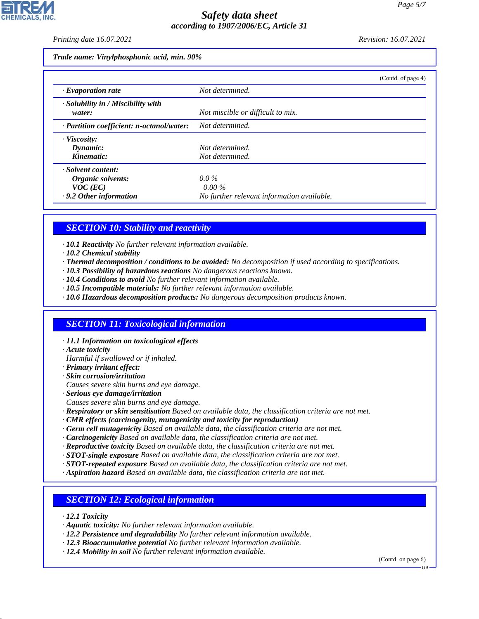*Printing date 16.07.2021 Revision: 16.07.2021*

*Trade name: Vinylphosphonic acid, min. 90%*

|                                                    | (Contd. of page 4)                         |
|----------------------------------------------------|--------------------------------------------|
| $\cdot$ Evaporation rate                           | Not determined.                            |
| $\cdot$ Solubility in / Miscibility with<br>water: | Not miscible or difficult to mix.          |
| · Partition coefficient: n-octanol/water:          | Not determined.                            |
| · Viscosity:                                       |                                            |
| Dynamic:                                           | Not determined.                            |
| Kinematic:                                         | Not determined.                            |
| · Solvent content:                                 |                                            |
| Organic solvents:                                  | $0.0\%$                                    |
| $VOC$ (EC)                                         | $0.00\%$                                   |
| $\cdot$ 9.2 Other information                      | No further relevant information available. |

# *SECTION 10: Stability and reactivity*

- *· 10.1 Reactivity No further relevant information available.*
- *· 10.2 Chemical stability*
- *· Thermal decomposition / conditions to be avoided: No decomposition if used according to specifications.*
- *· 10.3 Possibility of hazardous reactions No dangerous reactions known.*
- *· 10.4 Conditions to avoid No further relevant information available.*
- *· 10.5 Incompatible materials: No further relevant information available.*
- *· 10.6 Hazardous decomposition products: No dangerous decomposition products known.*

## *SECTION 11: Toxicological information*

- *· 11.1 Information on toxicological effects*
- *· Acute toxicity*
- *Harmful if swallowed or if inhaled.*
- *· Primary irritant effect:*
- *· Skin corrosion/irritation*
- *Causes severe skin burns and eye damage.*
- *· Serious eye damage/irritation*
- *Causes severe skin burns and eye damage.*
- *· Respiratory or skin sensitisation Based on available data, the classification criteria are not met.*
- *· CMR effects (carcinogenity, mutagenicity and toxicity for reproduction)*
- *· Germ cell mutagenicity Based on available data, the classification criteria are not met.*
- *· Carcinogenicity Based on available data, the classification criteria are not met.*
- *· Reproductive toxicity Based on available data, the classification criteria are not met.*
- *· STOT-single exposure Based on available data, the classification criteria are not met.*
- *· STOT-repeated exposure Based on available data, the classification criteria are not met.*
- *· Aspiration hazard Based on available data, the classification criteria are not met.*

## *SECTION 12: Ecological information*

*· 12.1 Toxicity*

44.1.1

- *· Aquatic toxicity: No further relevant information available.*
- *· 12.2 Persistence and degradability No further relevant information available.*
- *· 12.3 Bioaccumulative potential No further relevant information available.*
- *· 12.4 Mobility in soil No further relevant information available.*

(Contd. on page 6)

GB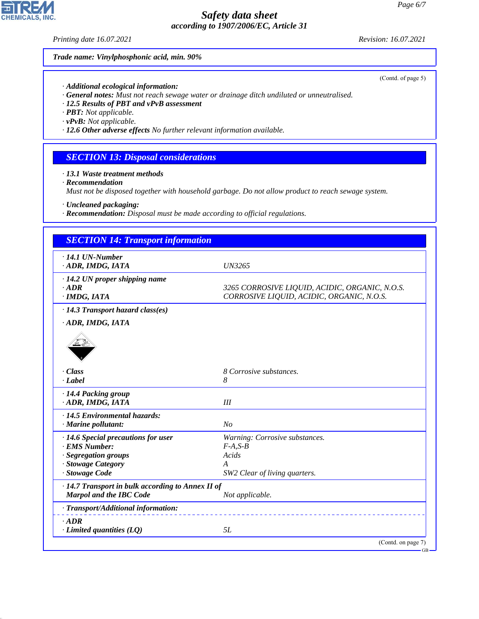*Printing date 16.07.2021 Revision: 16.07.2021*

*Trade name: Vinylphosphonic acid, min. 90%*

- *· Additional ecological information:*
- *· General notes: Must not reach sewage water or drainage ditch undiluted or unneutralised.*
- *· 12.5 Results of PBT and vPvB assessment*
- *· PBT: Not applicable.*
- *· vPvB: Not applicable.*
- *· 12.6 Other adverse effects No further relevant information available.*

## *SECTION 13: Disposal considerations*

*· 13.1 Waste treatment methods*

*· Recommendation*

*Must not be disposed together with household garbage. Do not allow product to reach sewage system.*

*· Uncleaned packaging:*

*· Recommendation: Disposal must be made according to official regulations.*

| <b>SECTION 14: Transport information</b>          |                                                                                             |  |
|---------------------------------------------------|---------------------------------------------------------------------------------------------|--|
| $\cdot$ 14.1 UN-Number<br>ADR, IMDG, IATA         | UN3265                                                                                      |  |
|                                                   |                                                                                             |  |
| $\cdot$ 14.2 UN proper shipping name              |                                                                                             |  |
| $-ADR$<br>$\cdot$ IMDG, IATA                      | 3265 CORROSIVE LIQUID, ACIDIC, ORGANIC, N.O.S.<br>CORROSIVE LIQUID, ACIDIC, ORGANIC, N.O.S. |  |
| · 14.3 Transport hazard class(es)                 |                                                                                             |  |
| · ADR, IMDG, IATA                                 |                                                                                             |  |
|                                                   |                                                                                             |  |
| · Class                                           | 8 Corrosive substances.                                                                     |  |
| · Label                                           | 8                                                                                           |  |
| · 14.4 Packing group<br>· ADR, IMDG, IATA         | III                                                                                         |  |
| · 14.5 Environmental hazards:                     |                                                                                             |  |
| $\cdot$ Marine pollutant:                         | N <sub>o</sub>                                                                              |  |
| $\cdot$ 14.6 Special precautions for user         | Warning: Corrosive substances.                                                              |  |
| <b>EMS</b> Number:                                | $F-A, S-B$                                                                                  |  |
| · Segregation groups                              | Acids                                                                                       |  |
| · Stowage Category                                | A                                                                                           |  |
| · Stowage Code                                    | SW2 Clear of living quarters.                                                               |  |
| · 14.7 Transport in bulk according to Annex II of |                                                                                             |  |
| <b>Marpol and the IBC Code</b>                    | Not applicable.                                                                             |  |
| · Transport/Additional information:               |                                                                                             |  |
| $·$ ADR<br>$\cdot$ Limited quantities (LQ)        | 5L                                                                                          |  |
|                                                   | (Contd. on page 7)                                                                          |  |



44.1.1

(Contd. of page 5)

GB